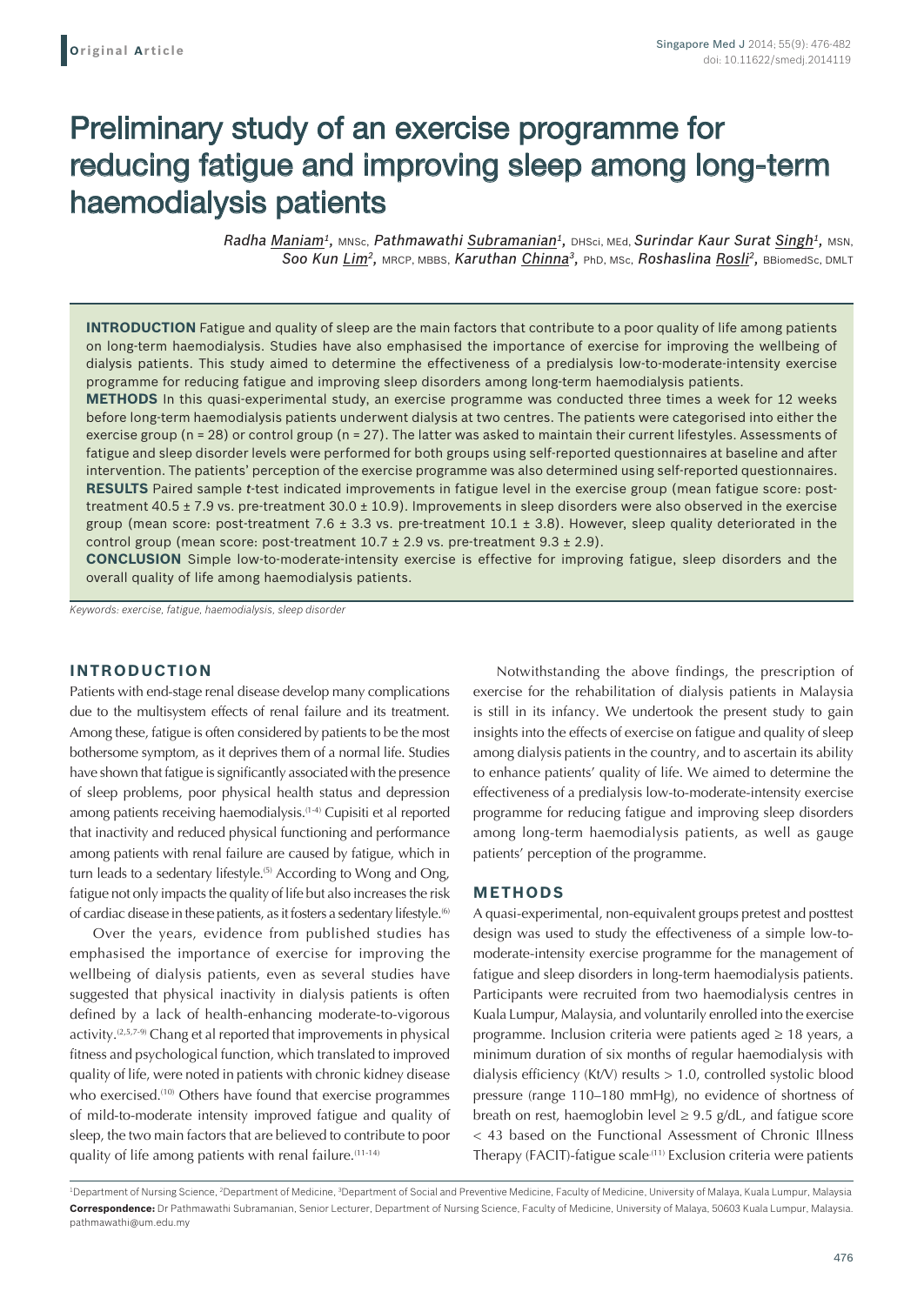# Preliminary study of an exercise programme for reducing fatigue and improving sleep among long-term haemodialysis patients

*Radha Maniam1,* MNSc, *Pathmawathi Subramanian1,* DHSci, MEd, *Surindar Kaur Surat Singh1,* MSN, *Soo Kun Lim2,* MRCP, MBBS, *Karuthan Chinna3,* PhD, MSc, *Roshaslina Rosli2,* BBiomedSc, DMLT

**INTRODUCTION** Fatigue and quality of sleep are the main factors that contribute to a poor quality of life among patients on long-term haemodialysis. Studies have also emphasised the importance of exercise for improving the wellbeing of dialysis patients. This study aimed to determine the effectiveness of a predialysis low-to-moderate-intensity exercise programme for reducing fatigue and improving sleep disorders among long-term haemodialysis patients.

**METHODS** In this quasi-experimental study, an exercise programme was conducted three times a week for 12 weeks before long-term haemodialysis patients underwent dialysis at two centres. The patients were categorised into either the exercise group (n = 28) or control group (n = 27). The latter was asked to maintain their current lifestyles. Assessments of fatigue and sleep disorder levels were performed for both groups using self-reported questionnaires at baseline and after intervention. The patients' perception of the exercise programme was also determined using self-reported questionnaires. **RESULTS** Paired sample *t*-test indicated improvements in fatigue level in the exercise group (mean fatigue score: posttreatment 40.5 ± 7.9 vs. pre-treatment 30.0 ± 10.9). Improvements in sleep disorders were also observed in the exercise group (mean score: post-treatment 7.6  $\pm$  3.3 vs. pre-treatment 10.1  $\pm$  3.8). However, sleep quality deteriorated in the control group (mean score: post-treatment  $10.7 \pm 2.9$  vs. pre-treatment  $9.3 \pm 2.9$ ).

**CONCLUSION** Simple low-to-moderate-intensity exercise is effective for improving fatigue, sleep disorders and the overall quality of life among haemodialysis patients.

*Keywords: exercise, fatigue, haemodialysis, sleep disorder*

## **INTRODUCTION**

Patients with end-stage renal disease develop many complications due to the multisystem effects of renal failure and its treatment. Among these, fatigue is often considered by patients to be the most bothersome symptom, as it deprives them of a normal life. Studies have shown that fatigue is significantly associated with the presence of sleep problems, poor physical health status and depression among patients receiving haemodialysis.(1-4) Cupisiti et al reported that inactivity and reduced physical functioning and performance among patients with renal failure are caused by fatigue, which in turn leads to a sedentary lifestyle.<sup>(5)</sup> According to Wong and Ong, fatigue not only impacts the quality of life but also increases the risk of cardiac disease in these patients, as it fosters a sedentary lifestyle.(6)

Over the years, evidence from published studies has emphasised the importance of exercise for improving the wellbeing of dialysis patients, even as several studies have suggested that physical inactivity in dialysis patients is often defined by a lack of health-enhancing moderate-to-vigorous activity.(2,5,7-9) Chang et al reported that improvements in physical fitness and psychological function, which translated to improved quality of life, were noted in patients with chronic kidney disease who exercised.<sup>(10)</sup> Others have found that exercise programmes of mild-to-moderate intensity improved fatigue and quality of sleep, the two main factors that are believed to contribute to poor quality of life among patients with renal failure.(11-14)

Notwithstanding the above findings, the prescription of exercise for the rehabilitation of dialysis patients in Malaysia is still in its infancy. We undertook the present study to gain insights into the effects of exercise on fatigue and quality of sleep among dialysis patients in the country, and to ascertain its ability to enhance patients' quality of life. We aimed to determine the effectiveness of a predialysis low-to-moderate-intensity exercise programme for reducing fatigue and improving sleep disorders among long-term haemodialysis patients, as well as gauge patients' perception of the programme.

## **METHODS**

A quasi-experimental, non-equivalent groups pretest and posttest design was used to study the effectiveness of a simple low-tomoderate-intensity exercise programme for the management of fatigue and sleep disorders in long-term haemodialysis patients. Participants were recruited from two haemodialysis centres in Kuala Lumpur, Malaysia, and voluntarily enrolled into the exercise programme. Inclusion criteria were patients aged ≥ 18 years, a minimum duration of six months of regular haemodialysis with dialysis efficiency (Kt/V) results > 1.0, controlled systolic blood pressure (range 110–180 mmHg), no evidence of shortness of breath on rest, haemoglobin level  $\geq$  9.5 g/dL, and fatigue score < 43 based on the Functional Assessment of Chronic Illness Therapy (FACIT)-fatigue scale<sup>(11)</sup> Exclusion criteria were patients

<sup>&</sup>lt;sup>1</sup>Department of Nursing Science, <sup>2</sup>Department of Medicine, <sup>3</sup>Department of Social and Preventive Medicine, Faculty of Medicine, University of Malaya, Kuala Lumpur, Malaysia **Correspondence:** Dr Pathmawathi Subramanian, Senior Lecturer, Department of Nursing Science, Faculty of Medicine, University of Malaya, 50603 Kuala Lumpur, Malaysia. pathmawathi@um.edu.my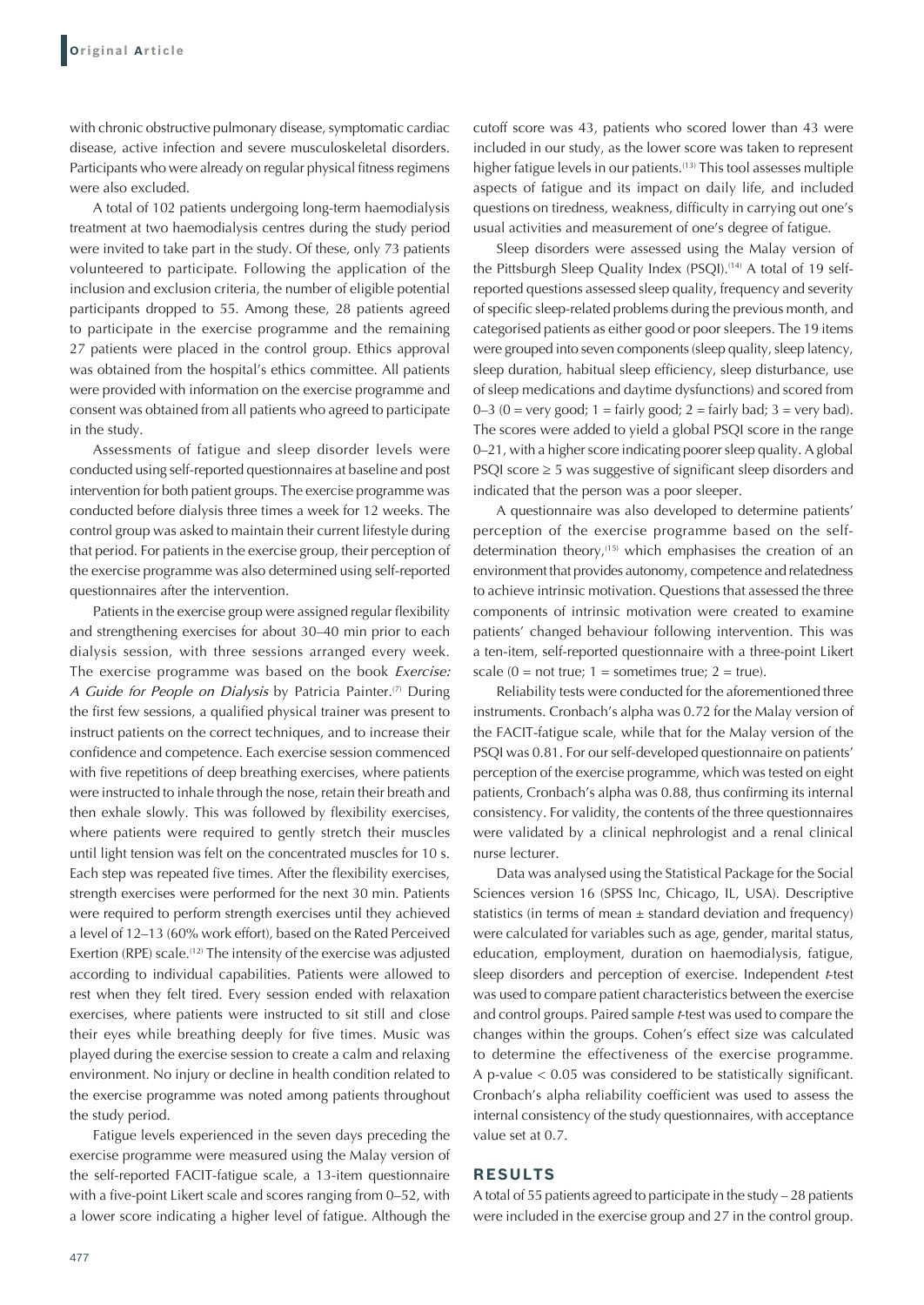with chronic obstructive pulmonary disease, symptomatic cardiac disease, active infection and severe musculoskeletal disorders. Participants who were already on regular physical fitness regimens were also excluded.

A total of 102 patients undergoing long-term haemodialysis treatment at two haemodialysis centres during the study period were invited to take part in the study. Of these, only 73 patients volunteered to participate. Following the application of the inclusion and exclusion criteria, the number of eligible potential participants dropped to 55. Among these, 28 patients agreed to participate in the exercise programme and the remaining 27 patients were placed in the control group. Ethics approval was obtained from the hospital's ethics committee. All patients were provided with information on the exercise programme and consent was obtained from all patients who agreed to participate in the study.

Assessments of fatigue and sleep disorder levels were conducted using self-reported questionnaires at baseline and post intervention for both patient groups. The exercise programme was conducted before dialysis three times a week for 12 weeks. The control group was asked to maintain their current lifestyle during that period. For patients in the exercise group, their perception of the exercise programme was also determined using self-reported questionnaires after the intervention.

Patients in the exercise group were assigned regular flexibility and strengthening exercises for about 30–40 min prior to each dialysis session, with three sessions arranged every week. The exercise programme was based on the book *Exercise: A Guide for People on Dialysis* by Patricia Painter.(7) During the first few sessions, a qualified physical trainer was present to instruct patients on the correct techniques, and to increase their confidence and competence. Each exercise session commenced with five repetitions of deep breathing exercises, where patients were instructed to inhale through the nose, retain their breath and then exhale slowly. This was followed by flexibility exercises, where patients were required to gently stretch their muscles until light tension was felt on the concentrated muscles for 10 s. Each step was repeated five times. After the flexibility exercises, strength exercises were performed for the next 30 min. Patients were required to perform strength exercises until they achieved a level of 12–13 (60% work effort), based on the Rated Perceived Exertion (RPE) scale.<sup>(12)</sup> The intensity of the exercise was adjusted according to individual capabilities. Patients were allowed to rest when they felt tired. Every session ended with relaxation exercises, where patients were instructed to sit still and close their eyes while breathing deeply for five times. Music was played during the exercise session to create a calm and relaxing environment. No injury or decline in health condition related to the exercise programme was noted among patients throughout the study period.

Fatigue levels experienced in the seven days preceding the exercise programme were measured using the Malay version of the self-reported FACIT-fatigue scale, a 13-item questionnaire with a five-point Likert scale and scores ranging from 0–52, with a lower score indicating a higher level of fatigue. Although the cutoff score was 43, patients who scored lower than 43 were included in our study, as the lower score was taken to represent higher fatigue levels in our patients.<sup>(13)</sup> This tool assesses multiple aspects of fatigue and its impact on daily life, and included questions on tiredness, weakness, difficulty in carrying out one's usual activities and measurement of one's degree of fatigue.

Sleep disorders were assessed using the Malay version of the Pittsburgh Sleep Quality Index (PSQI).<sup>(14)</sup> A total of 19 selfreported questions assessed sleep quality, frequency and severity of specific sleep-related problems during the previous month, and categorised patients as either good or poor sleepers. The 19 items were grouped into seven components (sleep quality, sleep latency, sleep duration, habitual sleep efficiency, sleep disturbance, use of sleep medications and daytime dysfunctions) and scored from  $0-3$   $(0 = \text{very good}; 1 = \text{fairly good}; 2 = \text{fairly bad}; 3 = \text{very bad}).$ The scores were added to yield a global PSQI score in the range 0–21, with a higher score indicating poorer sleep quality. A global PSQI score  $\geq$  5 was suggestive of significant sleep disorders and indicated that the person was a poor sleeper.

A questionnaire was also developed to determine patients' perception of the exercise programme based on the selfdetermination theory,<sup>(15)</sup> which emphasises the creation of an environment that provides autonomy, competence and relatedness to achieve intrinsic motivation. Questions that assessed the three components of intrinsic motivation were created to examine patients' changed behaviour following intervention. This was a ten-item, self-reported questionnaire with a three-point Likert scale  $(0 = not true; 1 = sometimes true; 2 = true)$ .

Reliability tests were conducted for the aforementioned three instruments. Cronbach's alpha was 0.72 for the Malay version of the FACIT-fatigue scale, while that for the Malay version of the PSQI was 0.81. For our self-developed questionnaire on patients' perception of the exercise programme, which was tested on eight patients, Cronbach's alpha was 0.88, thus confirming its internal consistency. For validity, the contents of the three questionnaires were validated by a clinical nephrologist and a renal clinical nurse lecturer.

Data was analysed using the Statistical Package for the Social Sciences version 16 (SPSS Inc, Chicago, IL, USA). Descriptive statistics (in terms of mean  $\pm$  standard deviation and frequency) were calculated for variables such as age, gender, marital status, education, employment, duration on haemodialysis, fatigue, sleep disorders and perception of exercise. Independent *t*-test was used to compare patient characteristics between the exercise and control groups. Paired sample *t*-test was used to compare the changes within the groups. Cohen's effect size was calculated to determine the effectiveness of the exercise programme. A p-value < 0.05 was considered to be statistically significant. Cronbach's alpha reliability coefficient was used to assess the internal consistency of the study questionnaires, with acceptance value set at 0.7.

## **RESULTS**

A total of 55 patients agreed to participate in the study – 28 patients were included in the exercise group and 27 in the control group.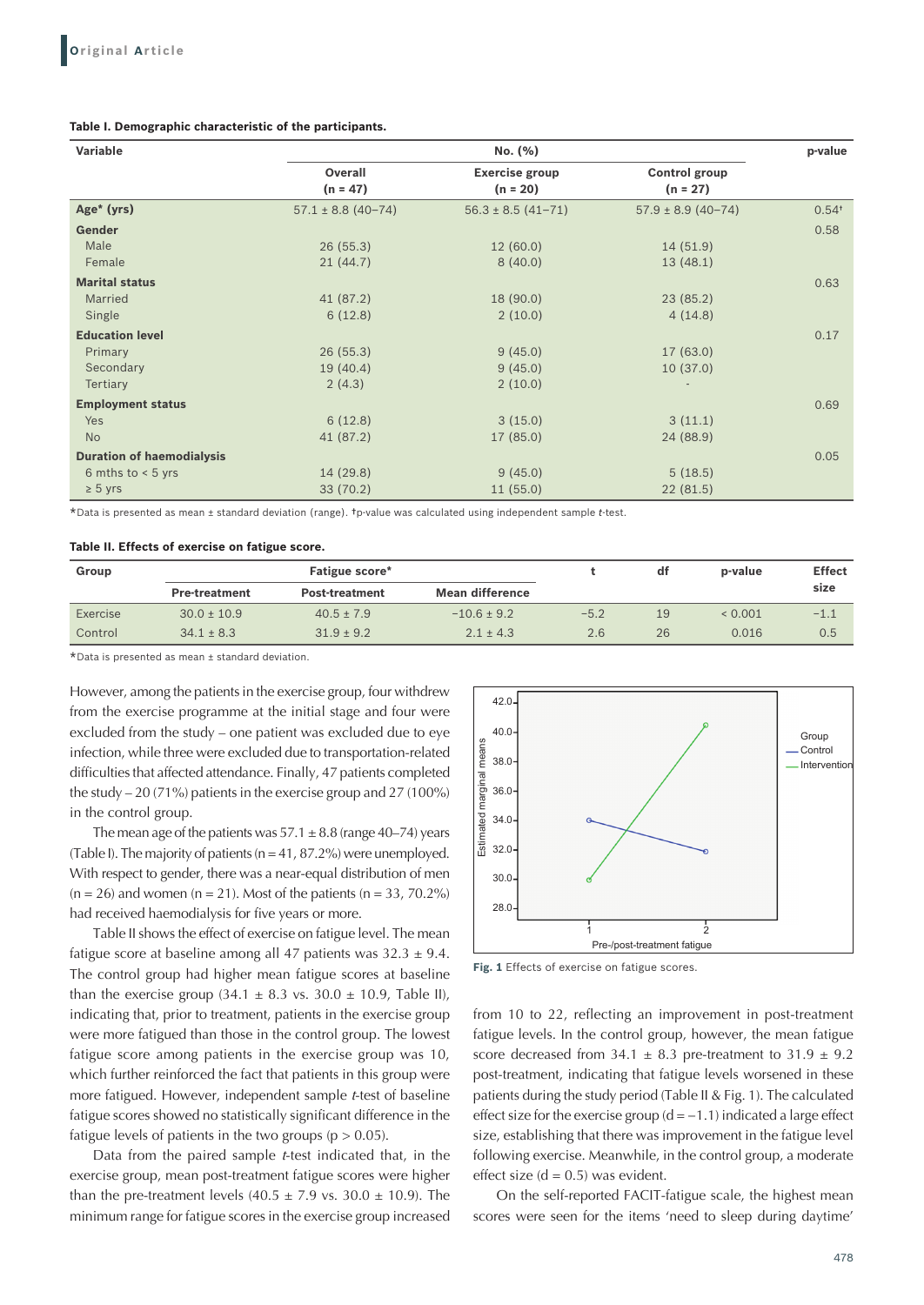#### **Table I. Demographic characteristic of the participants.**

| <b>Variable</b>                  | No. (%)                |                                     |                             |                     |
|----------------------------------|------------------------|-------------------------------------|-----------------------------|---------------------|
|                                  | Overall<br>$(n = 47)$  | <b>Exercise group</b><br>$(n = 20)$ | Control group<br>$(n = 27)$ |                     |
| Age* (yrs)                       | $57.1 \pm 8.8$ (40-74) | $56.3 \pm 8.5 (41 - 71)$            | $57.9 \pm 8.9$ (40-74)      | $0.54$ <sup>+</sup> |
| <b>Gender</b>                    |                        |                                     |                             | 0.58                |
| Male                             | 26(55.3)               | 12(60.0)                            | 14(51.9)                    |                     |
| Female                           | 21(44.7)               | 8(40.0)                             | 13(48.1)                    |                     |
| <b>Marital status</b>            |                        |                                     |                             | 0.63                |
| Married                          | 41 (87.2)              | 18 (90.0)                           | 23(85.2)                    |                     |
| Single                           | 6(12.8)                | 2(10.0)                             | 4(14.8)                     |                     |
| <b>Education level</b>           |                        |                                     |                             | 0.17                |
| Primary                          | 26(55.3)               | 9(45.0)                             | 17(63.0)                    |                     |
| Secondary                        | 19(40.4)               | 9(45.0)                             | 10(37.0)                    |                     |
| <b>Tertiary</b>                  | 2(4.3)                 | 2(10.0)                             |                             |                     |
| <b>Employment status</b>         |                        |                                     |                             | 0.69                |
| Yes                              | 6(12.8)                | 3(15.0)                             | 3(11.1)                     |                     |
| <b>No</b>                        | 41 (87.2)              | 17(85.0)                            | 24 (88.9)                   |                     |
| <b>Duration of haemodialysis</b> |                        |                                     |                             | 0.05                |
| 6 mths to $<$ 5 yrs              | 14(29.8)               | 9(45.0)                             | 5(18.5)                     |                     |
| $\geq 5$ yrs                     | 33(70.2)               | 11(55.0)                            | 22(81.5)                    |                     |

\*Data is presented as mean ± standard deviation (range). †p-value was calculated using independent sample *t*-test.

#### **Table II. Effects of exercise on fatigue score.**

| Group    |                      | <b>Fatigue score*</b> |                 |        | df | p-value | <b>Effect</b> |
|----------|----------------------|-----------------------|-----------------|--------|----|---------|---------------|
|          | <b>Pre-treatment</b> | <b>Post-treatment</b> | Mean difference |        |    |         | size          |
| Exercise | $30.0 \pm 10.9$      | $40.5 \pm 7.9$        | $-10.6 \pm 9.2$ | $-5.2$ | 19 | < 0.001 | $-1.1$        |
| Control  | $34.1 \pm 8.3$       | $31.9 \pm 9.2$        | $2.1 \pm 4.3$   | 2.6    | 26 | 0.016   | 0.5           |

\*Data is presented as mean ± standard deviation.

However, among the patients in the exercise group, four withdrew from the exercise programme at the initial stage and four were excluded from the study – one patient was excluded due to eye infection, while three were excluded due to transportation-related difficulties that affected attendance. Finally, 47 patients completed the study – 20 (71%) patients in the exercise group and 27 (100%) in the control group.

The mean age of the patients was  $57.1 \pm 8.8$  (range 40–74) years (Table I). The majority of patients ( $n = 41$ , 87.2%) were unemployed. With respect to gender, there was a near-equal distribution of men  $(n = 26)$  and women  $(n = 21)$ . Most of the patients  $(n = 33, 70.2\%)$ had received haemodialysis for five years or more.

Table II shows the effect of exercise on fatigue level. The mean fatigue score at baseline among all 47 patients was  $32.3 \pm 9.4$ . The control group had higher mean fatigue scores at baseline than the exercise group  $(34.1 \pm 8.3 \text{ vs. } 30.0 \pm 10.9)$ , Table II), indicating that, prior to treatment, patients in the exercise group were more fatigued than those in the control group. The lowest fatigue score among patients in the exercise group was 10, which further reinforced the fact that patients in this group were more fatigued. However, independent sample *t*-test of baseline fatigue scores showed no statistically significant difference in the fatigue levels of patients in the two groups ( $p > 0.05$ ).

Data from the paired sample *t*-test indicated that, in the exercise group, mean post-treatment fatigue scores were higher than the pre-treatment levels  $(40.5 \pm 7.9 \text{ vs. } 30.0 \pm 10.9)$ . The minimum range for fatigue scores in the exercise group increased



**Fig. 1** Effects of exercise on fatigue scores.

from 10 to 22, reflecting an improvement in post-treatment fatigue levels. In the control group, however, the mean fatigue score decreased from  $34.1 \pm 8.3$  pre-treatment to  $31.9 \pm 9.2$ post-treatment, indicating that fatigue levels worsened in these patients during the study period (Table II & Fig. 1). The calculated effect size for the exercise group  $(d = -1.1)$  indicated a large effect size, establishing that there was improvement in the fatigue level following exercise. Meanwhile, in the control group, a moderate effect size  $(d = 0.5)$  was evident.

On the self-reported FACIT-fatigue scale, the highest mean scores were seen for the items 'need to sleep during daytime'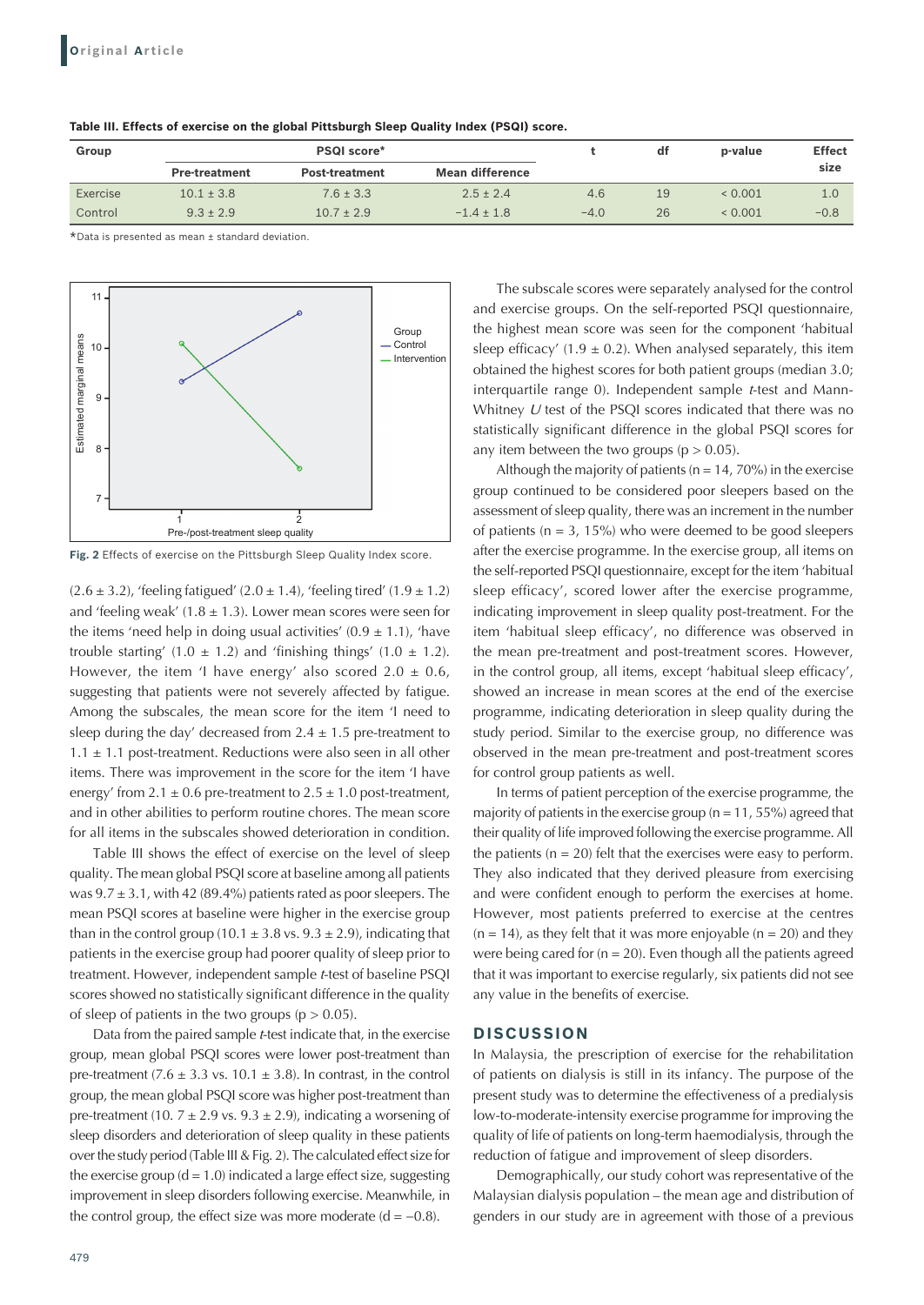| Group    |                      | <b>PSQI score*</b>    |                 |        | df | p-value | <b>Effect</b> |
|----------|----------------------|-----------------------|-----------------|--------|----|---------|---------------|
|          | <b>Pre-treatment</b> | <b>Post-treatment</b> | Mean difference |        |    |         | size          |
| Exercise | $10.1 \pm 3.8$       | $7.6 \pm 3.3$         | $2.5 \pm 2.4$   | 4.6    | 19 | 0.001   | 1.0           |
| Control  | $9.3 \pm 2.9$        | $10.7 \pm 2.9$        | $-1.4 \pm 1.8$  | $-4.0$ | 26 | < 0.001 | $-0.8$        |

**Table III. Effects of exercise on the global Pittsburgh Sleep Quality Index (PSQI) score.**

\*Data is presented as mean ± standard deviation.



**Fig. 2** Effects of exercise on the Pittsburgh Sleep Quality Index score.

 $(2.6 \pm 3.2)$ , 'feeling fatigued'  $(2.0 \pm 1.4)$ , 'feeling tired'  $(1.9 \pm 1.2)$ and 'feeling weak'  $(1.8 \pm 1.3)$ . Lower mean scores were seen for the items 'need help in doing usual activities'  $(0.9 \pm 1.1)$ , 'have trouble starting'  $(1.0 \pm 1.2)$  and 'finishing things'  $(1.0 \pm 1.2)$ . However, the item 'I have energy' also scored  $2.0 \pm 0.6$ , suggesting that patients were not severely affected by fatigue. Among the subscales, the mean score for the item 'I need to sleep during the day' decreased from  $2.4 \pm 1.5$  pre-treatment to  $1.1 \pm 1.1$  post-treatment. Reductions were also seen in all other items. There was improvement in the score for the item 'I have energy' from  $2.1 \pm 0.6$  pre-treatment to  $2.5 \pm 1.0$  post-treatment, and in other abilities to perform routine chores. The mean score for all items in the subscales showed deterioration in condition.

Table III shows the effect of exercise on the level of sleep quality. The mean global PSQI score at baseline among all patients was  $9.7 \pm 3.1$ , with 42 (89.4%) patients rated as poor sleepers. The mean PSQI scores at baseline were higher in the exercise group than in the control group (10.1  $\pm$  3.8 vs. 9.3  $\pm$  2.9), indicating that patients in the exercise group had poorer quality of sleep prior to treatment. However, independent sample *t*-test of baseline PSQI scores showed no statistically significant difference in the quality of sleep of patients in the two groups ( $p > 0.05$ ).

Data from the paired sample *t*-test indicate that, in the exercise group, mean global PSQI scores were lower post-treatment than pre-treatment (7.6  $\pm$  3.3 vs. 10.1  $\pm$  3.8). In contrast, in the control group, the mean global PSQI score was higher post-treatment than pre-treatment (10.  $7 \pm 2.9$  vs.  $9.3 \pm 2.9$ ), indicating a worsening of sleep disorders and deterioration of sleep quality in these patients over the study period (Table III & Fig. 2). The calculated effect size for the exercise group  $(d = 1.0)$  indicated a large effect size, suggesting improvement in sleep disorders following exercise. Meanwhile, in the control group, the effect size was more moderate  $(d = -0.8)$ .

479

The subscale scores were separately analysed for the control and exercise groups. On the self-reported PSQI questionnaire, the highest mean score was seen for the component 'habitual sleep efficacy' (1.9  $\pm$  0.2). When analysed separately, this item obtained the highest scores for both patient groups (median 3.0; interquartile range 0). Independent sample *t*-test and Mann-Whitney *U* test of the PSQI scores indicated that there was no statistically significant difference in the global PSQI scores for any item between the two groups ( $p > 0.05$ ).

Although the majority of patients ( $n = 14$ , 70%) in the exercise group continued to be considered poor sleepers based on the assessment of sleep quality, there was an increment in the number of patients ( $n = 3$ , 15%) who were deemed to be good sleepers after the exercise programme. In the exercise group, all items on the self-reported PSQI questionnaire, except for the item 'habitual sleep efficacy', scored lower after the exercise programme, indicating improvement in sleep quality post-treatment. For the item 'habitual sleep efficacy', no difference was observed in the mean pre-treatment and post-treatment scores. However, in the control group, all items, except 'habitual sleep efficacy', showed an increase in mean scores at the end of the exercise programme, indicating deterioration in sleep quality during the study period. Similar to the exercise group, no difference was observed in the mean pre-treatment and post-treatment scores for control group patients as well.

In terms of patient perception of the exercise programme, the majority of patients in the exercise group ( $n = 11$ , 55%) agreed that their quality of life improved following the exercise programme. All the patients  $(n = 20)$  felt that the exercises were easy to perform. They also indicated that they derived pleasure from exercising and were confident enough to perform the exercises at home. However, most patients preferred to exercise at the centres  $(n = 14)$ , as they felt that it was more enjoyable  $(n = 20)$  and they were being cared for  $(n = 20)$ . Even though all the patients agreed that it was important to exercise regularly, six patients did not see any value in the benefits of exercise.

### **DISCUSSION**

In Malaysia, the prescription of exercise for the rehabilitation of patients on dialysis is still in its infancy. The purpose of the present study was to determine the effectiveness of a predialysis low-to-moderate-intensity exercise programme for improving the quality of life of patients on long-term haemodialysis, through the reduction of fatigue and improvement of sleep disorders.

Demographically, our study cohort was representative of the Malaysian dialysis population – the mean age and distribution of genders in our study are in agreement with those of a previous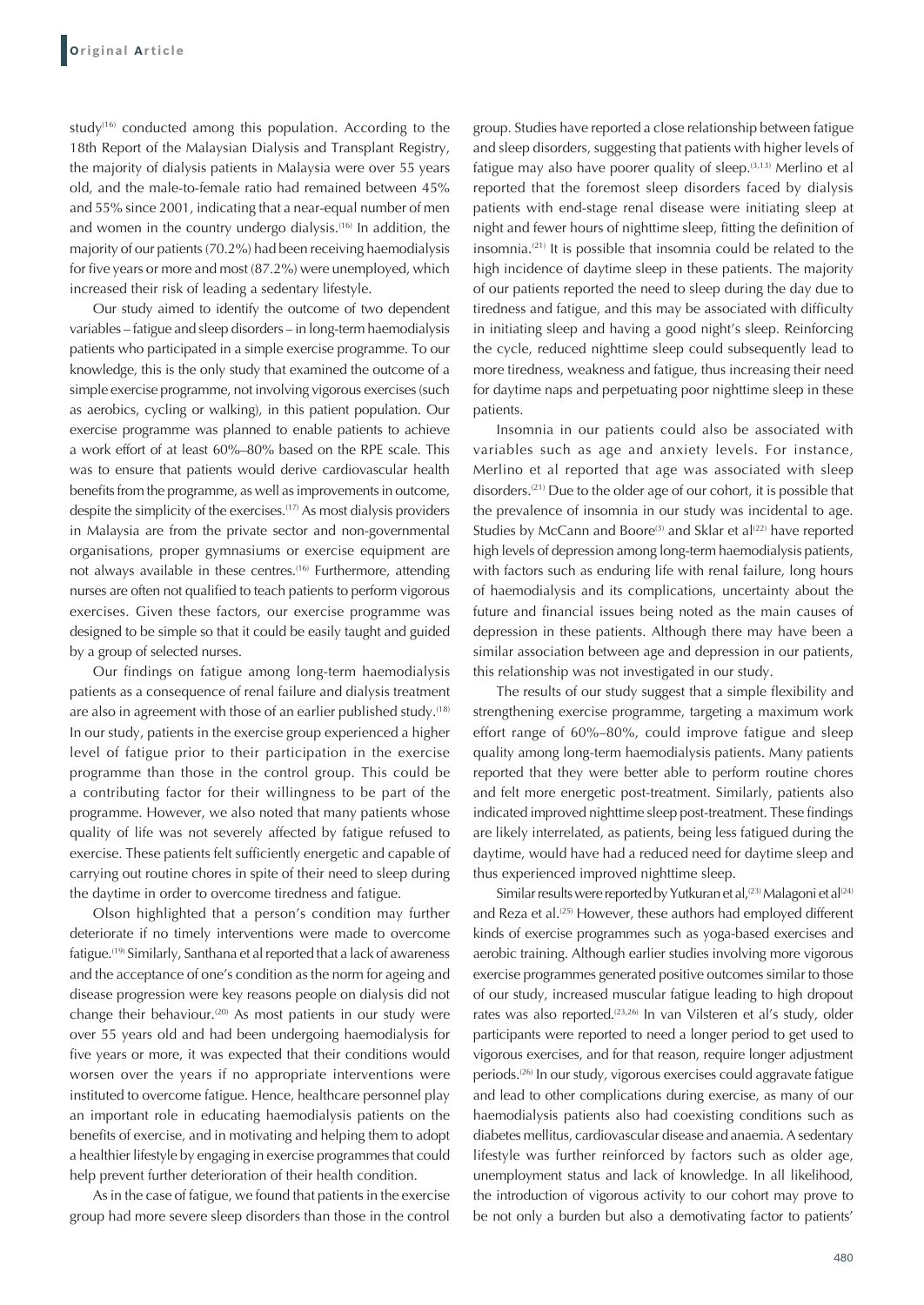study<sup> $(16)$ </sup> conducted among this population. According to the 18th Report of the Malaysian Dialysis and Transplant Registry, the majority of dialysis patients in Malaysia were over 55 years old, and the male-to-female ratio had remained between 45% and 55% since 2001, indicating that a near-equal number of men and women in the country undergo dialysis.<sup>(16)</sup> In addition, the majority of our patients (70.2%) had been receiving haemodialysis for five years or more and most (87.2%) were unemployed, which increased their risk of leading a sedentary lifestyle.

Our study aimed to identify the outcome of two dependent variables – fatigue and sleep disorders – in long-term haemodialysis patients who participated in a simple exercise programme. To our knowledge, this is the only study that examined the outcome of a simple exercise programme, not involving vigorous exercises (such as aerobics, cycling or walking), in this patient population. Our exercise programme was planned to enable patients to achieve a work effort of at least 60%–80% based on the RPE scale. This was to ensure that patients would derive cardiovascular health benefits from the programme, as well as improvements in outcome, despite the simplicity of the exercises.(17) As most dialysis providers in Malaysia are from the private sector and non-governmental organisations, proper gymnasiums or exercise equipment are not always available in these centres.<sup>(16)</sup> Furthermore, attending nurses are often not qualified to teach patients to perform vigorous exercises. Given these factors, our exercise programme was designed to be simple so that it could be easily taught and guided by a group of selected nurses.

Our findings on fatigue among long-term haemodialysis patients as a consequence of renal failure and dialysis treatment are also in agreement with those of an earlier published study.<sup>(18)</sup> In our study, patients in the exercise group experienced a higher level of fatigue prior to their participation in the exercise programme than those in the control group. This could be a contributing factor for their willingness to be part of the programme. However, we also noted that many patients whose quality of life was not severely affected by fatigue refused to exercise. These patients felt sufficiently energetic and capable of carrying out routine chores in spite of their need to sleep during the daytime in order to overcome tiredness and fatigue.

Olson highlighted that a person's condition may further deteriorate if no timely interventions were made to overcome fatigue.(19) Similarly, Santhana et al reported that a lack of awareness and the acceptance of one's condition as the norm for ageing and disease progression were key reasons people on dialysis did not change their behaviour.<sup>(20)</sup> As most patients in our study were over 55 years old and had been undergoing haemodialysis for five years or more, it was expected that their conditions would worsen over the years if no appropriate interventions were instituted to overcome fatigue. Hence, healthcare personnel play an important role in educating haemodialysis patients on the benefits of exercise, and in motivating and helping them to adopt a healthier lifestyle by engaging in exercise programmes that could help prevent further deterioration of their health condition.

As in the case of fatigue, we found that patients in the exercise group had more severe sleep disorders than those in the control

group. Studies have reported a close relationship between fatigue and sleep disorders, suggesting that patients with higher levels of fatigue may also have poorer quality of sleep.<sup>(3,13)</sup> Merlino et al reported that the foremost sleep disorders faced by dialysis patients with end-stage renal disease were initiating sleep at night and fewer hours of nighttime sleep, fitting the definition of insomnia.(21) It is possible that insomnia could be related to the high incidence of daytime sleep in these patients. The majority of our patients reported the need to sleep during the day due to tiredness and fatigue, and this may be associated with difficulty in initiating sleep and having a good night's sleep. Reinforcing the cycle, reduced nighttime sleep could subsequently lead to more tiredness, weakness and fatigue, thus increasing their need for daytime naps and perpetuating poor nighttime sleep in these patients.

Insomnia in our patients could also be associated with variables such as age and anxiety levels. For instance, Merlino et al reported that age was associated with sleep disorders.(21) Due to the older age of our cohort, it is possible that the prevalence of insomnia in our study was incidental to age. Studies by McCann and Boore<sup>(3)</sup> and Sklar et al<sup>(22)</sup> have reported high levels of depression among long-term haemodialysis patients, with factors such as enduring life with renal failure, long hours of haemodialysis and its complications, uncertainty about the future and financial issues being noted as the main causes of depression in these patients. Although there may have been a similar association between age and depression in our patients, this relationship was not investigated in our study.

The results of our study suggest that a simple flexibility and strengthening exercise programme, targeting a maximum work effort range of 60%–80%, could improve fatigue and sleep quality among long-term haemodialysis patients. Many patients reported that they were better able to perform routine chores and felt more energetic post-treatment. Similarly, patients also indicated improved nighttime sleep post-treatment. These findings are likely interrelated, as patients, being less fatigued during the daytime, would have had a reduced need for daytime sleep and thus experienced improved nighttime sleep.

Similar results were reported by Yutkuran et al,<sup>(23)</sup> Malagoni et al<sup>(24)</sup> and Reza et al.<sup>(25)</sup> However, these authors had employed different kinds of exercise programmes such as yoga-based exercises and aerobic training. Although earlier studies involving more vigorous exercise programmes generated positive outcomes similar to those of our study, increased muscular fatigue leading to high dropout rates was also reported.<sup>(23,26)</sup> In van Vilsteren et al's study, older participants were reported to need a longer period to get used to vigorous exercises, and for that reason, require longer adjustment periods.(26) In our study, vigorous exercises could aggravate fatigue and lead to other complications during exercise, as many of our haemodialysis patients also had coexisting conditions such as diabetes mellitus, cardiovascular disease and anaemia. A sedentary lifestyle was further reinforced by factors such as older age, unemployment status and lack of knowledge. In all likelihood, the introduction of vigorous activity to our cohort may prove to be not only a burden but also a demotivating factor to patients'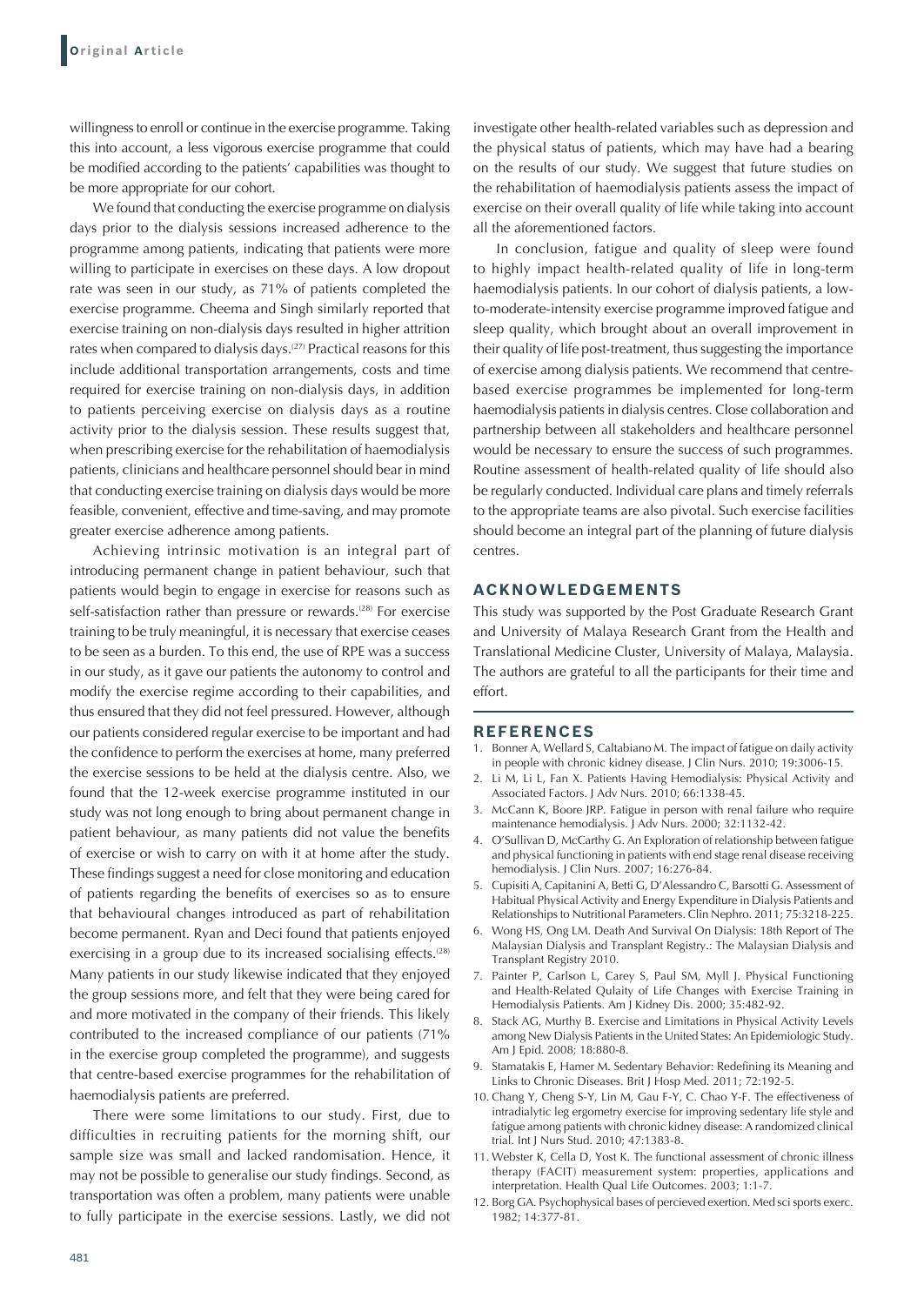willingness to enroll or continue in the exercise programme. Taking this into account, a less vigorous exercise programme that could be modified according to the patients' capabilities was thought to be more appropriate for our cohort.

We found that conducting the exercise programme on dialysis days prior to the dialysis sessions increased adherence to the programme among patients, indicating that patients were more willing to participate in exercises on these days. A low dropout rate was seen in our study, as 71% of patients completed the exercise programme. Cheema and Singh similarly reported that exercise training on non-dialysis days resulted in higher attrition rates when compared to dialysis days.<sup>(27)</sup> Practical reasons for this include additional transportation arrangements, costs and time required for exercise training on non-dialysis days, in addition to patients perceiving exercise on dialysis days as a routine activity prior to the dialysis session. These results suggest that, when prescribing exercise for the rehabilitation of haemodialysis patients, clinicians and healthcare personnel should bear in mind that conducting exercise training on dialysis days would be more feasible, convenient, effective and time-saving, and may promote greater exercise adherence among patients.

Achieving intrinsic motivation is an integral part of introducing permanent change in patient behaviour, such that patients would begin to engage in exercise for reasons such as self-satisfaction rather than pressure or rewards.<sup>(28)</sup> For exercise training to be truly meaningful, it is necessary that exercise ceases to be seen as a burden. To this end, the use of RPE was a success in our study, as it gave our patients the autonomy to control and modify the exercise regime according to their capabilities, and thus ensured that they did not feel pressured. However, although our patients considered regular exercise to be important and had the confidence to perform the exercises at home, many preferred the exercise sessions to be held at the dialysis centre. Also, we found that the 12-week exercise programme instituted in our study was not long enough to bring about permanent change in patient behaviour, as many patients did not value the benefits of exercise or wish to carry on with it at home after the study. These findings suggest a need for close monitoring and education of patients regarding the benefits of exercises so as to ensure that behavioural changes introduced as part of rehabilitation become permanent. Ryan and Deci found that patients enjoyed exercising in a group due to its increased socialising effects.<sup>(28)</sup> Many patients in our study likewise indicated that they enjoyed the group sessions more, and felt that they were being cared for and more motivated in the company of their friends. This likely contributed to the increased compliance of our patients (71% in the exercise group completed the programme), and suggests that centre-based exercise programmes for the rehabilitation of haemodialysis patients are preferred.

There were some limitations to our study. First, due to difficulties in recruiting patients for the morning shift, our sample size was small and lacked randomisation. Hence, it may not be possible to generalise our study findings. Second, as transportation was often a problem, many patients were unable to fully participate in the exercise sessions. Lastly, we did not investigate other health-related variables such as depression and the physical status of patients, which may have had a bearing on the results of our study. We suggest that future studies on the rehabilitation of haemodialysis patients assess the impact of exercise on their overall quality of life while taking into account all the aforementioned factors.

In conclusion, fatigue and quality of sleep were found to highly impact health-related quality of life in long-term haemodialysis patients. In our cohort of dialysis patients, a lowto-moderate-intensity exercise programme improved fatigue and sleep quality, which brought about an overall improvement in their quality of life post-treatment, thus suggesting the importance of exercise among dialysis patients. We recommend that centrebased exercise programmes be implemented for long-term haemodialysis patients in dialysis centres. Close collaboration and partnership between all stakeholders and healthcare personnel would be necessary to ensure the success of such programmes. Routine assessment of health-related quality of life should also be regularly conducted. Individual care plans and timely referrals to the appropriate teams are also pivotal. Such exercise facilities should become an integral part of the planning of future dialysis centres.

## **ACKNOWLEDGEMENTS**

This study was supported by the Post Graduate Research Grant and University of Malaya Research Grant from the Health and Translational Medicine Cluster, University of Malaya, Malaysia. The authors are grateful to all the participants for their time and effort.

#### **REFERENCES**

- 1. Bonner A, Wellard S, Caltabiano M. The impact of fatigue on daily activity in people with chronic kidney disease. J Clin Nurs. 2010; 19:3006-15.
- 2. Li M, Li L, Fan X. Patients Having Hemodialysis: Physical Activity and Associated Factors. J Adv Nurs. 2010; 66:1338-45.
- 3. McCann K, Boore JRP. Fatigue in person with renal failure who require maintenance hemodialysis. J Adv Nurs. 2000; 32:1132-42.
- 4. O'Sullivan D, McCarthy G. An Exploration of relationship between fatigue and physical functioning in patients with end stage renal disease receiving hemodialysis. J Clin Nurs. 2007; 16:276-84.
- 5. Cupisiti A, Capitanini A, Betti G, D'Alessandro C, Barsotti G. Assessment of Habitual Physical Activity and Energy Expenditure in Dialysis Patients and Relationships to Nutritional Parameters. Clin Nephro. 2011; 75:3218-225.
- 6. Wong HS, Ong LM. Death And Survival On Dialysis: 18th Report of The Malaysian Dialysis and Transplant Registry.: The Malaysian Dialysis and Transplant Registry 2010.
- 7. Painter P, Carlson L, Carey S, Paul SM, Myll J. Physical Functioning and Health-Related Qulaity of Life Changes with Exercise Training in Hemodialysis Patients. Am J Kidney Dis. 2000; 35:482-92.
- 8. Stack AG, Murthy B. Exercise and Limitations in Physical Activity Levels among New Dialysis Patients in the United States: An Epidemiologic Study. Am J Epid. 2008; 18:880-8.
- 9. Stamatakis E, Hamer M. Sedentary Behavior: Redefining its Meaning and Links to Chronic Diseases. Brit J Hosp Med. 2011; 72:192-5.
- 10. Chang Y, Cheng S-Y, Lin M, Gau F-Y, C. Chao Y-F. The effectiveness of intradialytic leg ergometry exercise for improving sedentary life style and fatigue among patients with chronic kidney disease: A randomized clinical trial. Int J Nurs Stud. 2010; 47:1383-8.
- 11. Webster K, Cella D, Yost K. The functional assessment of chronic illness therapy (FACIT) measurement system: properties, applications and interpretation. Health Qual Life Outcomes. 2003; 1:1-7.
- 12. Borg GA. Psychophysical bases of percieved exertion. Med sci sports exerc. 1982; 14:377-81.